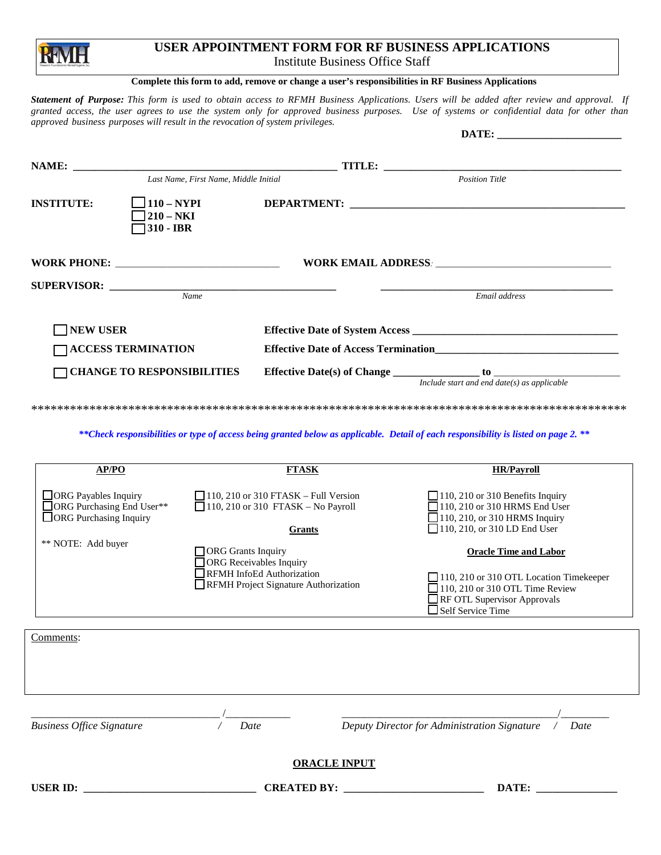## **USER APPOINTMENT FORM FOR RF BUSINESS APPLICATIONS** Institute Business Office Staff

## **Complete this form to add, remove or change a user's responsibilities in RF Business Applications**

*Statement of Purpose: This form is used to obtain access to RFMH Business Applications. Users will be added after review and approval. If granted access, the user agrees to use the system only for approved business purposes. Use of systems or confidential data for other than approved business purposes will result in the revocation of system privileges.*  DATE.

|                                   |                                          | DAIL. _____________________                     |
|-----------------------------------|------------------------------------------|-------------------------------------------------|
|                                   | Last Name, First Name, Middle Initial    | <b>Position Title</b>                           |
| <b>INSTITUTE:</b>                 | $110 - NYPI$<br>$210 - NKI$<br>310 - IBR |                                                 |
|                                   |                                          |                                                 |
|                                   | Name                                     | Email address                                   |
| <b>NEW USER</b>                   |                                          |                                                 |
|                                   | <b>TACCESS TERMINATION</b>               |                                                 |
| <b>CHANGE TO RESPONSIBILITIES</b> |                                          | Include start and end date( $s$ ) as applicable |

\*\*\*\*\*\*\*\*\*\*\*\*\*\*\*\*\*\*\*\*\*\*\*\*\*\*\*\*\*\*\*\*\*\*\*\*\*\*\*\*\*\*\*\*\*\*\*\*\*\*\*\*\*\*\*\*\*\*\*\*\*\*\*\*\*\*\*\*\*\*\*\*\*\*\*\*\*\*\*\*\*\*\*\*\*\*\*\*\*\*\*\*

*\*\*Check responsibilities or type of access being granted below as applicable. Detail of each responsibility is listed on page 2. \*\**

| AP/PO                                                                           | <b>FTASK</b>                                                                                                                     | <b>HR/Pavroll</b>                                                                                                                                                            |
|---------------------------------------------------------------------------------|----------------------------------------------------------------------------------------------------------------------------------|------------------------------------------------------------------------------------------------------------------------------------------------------------------------------|
| ORG Payables Inquiry<br>□ ORG Purchasing End User**<br>□ ORG Purchasing Inquiry | $\Box$ 110, 210 or 310 FTASK – Full Version<br>$\Box$ 110, 210 or 310 FTASK - No Payroll<br><b>Grants</b>                        | $\Box$ 110, 210 or 310 Benefits Inquiry<br>110, 210 or 310 HRMS End User<br>$\Box$ 110, 210, or 310 HRMS Inquiry<br>110, 210, or 310 LD End User                             |
| ** NOTE: Add buyer                                                              | ORG Grants Inquiry<br><b>ORG</b> Receivables Inquiry<br><b>REMH</b> InfoEd Authorization<br>RFMH Project Signature Authorization | <b>Oracle Time and Labor</b><br>110, 210 or 310 OTL Location Timekeeper<br>$\Box$ 110, 210 or 310 OTL Time Review<br>RF OTL Supervisor Approvals<br>$\Box$ Self Service Time |
| Comments:                                                                       |                                                                                                                                  |                                                                                                                                                                              |
|                                                                                 |                                                                                                                                  |                                                                                                                                                                              |
| <b>Business Office Signature</b>                                                | Date                                                                                                                             | Deputy Director for Administration Signature<br>Date                                                                                                                         |
|                                                                                 | <b>ORACLE INPUT</b>                                                                                                              |                                                                                                                                                                              |
| <b>USER ID:</b>                                                                 | <b>CREATED BY:</b>                                                                                                               | DATE:                                                                                                                                                                        |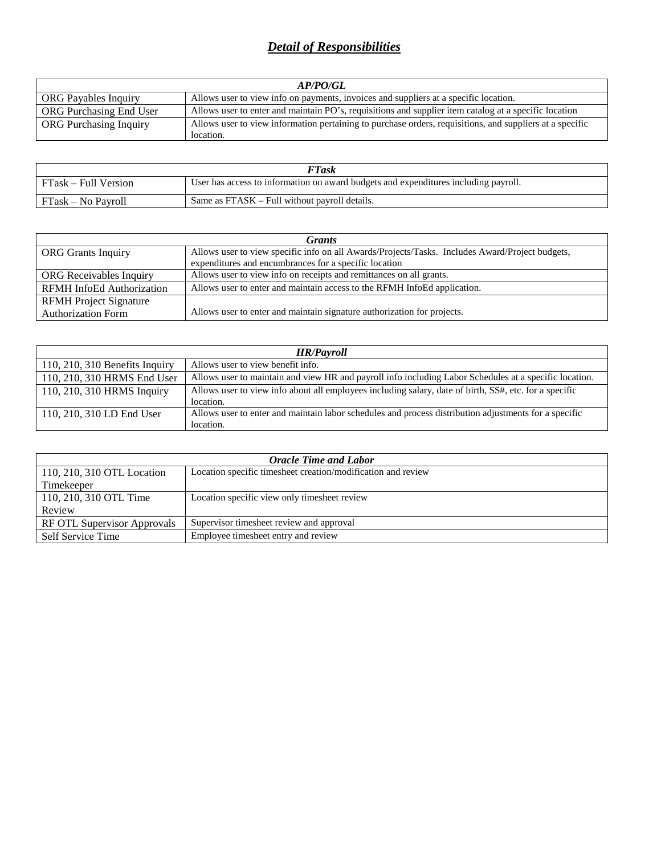## *Detail of Responsibilities*

| AP/PO/GL                      |                                                                                                          |  |
|-------------------------------|----------------------------------------------------------------------------------------------------------|--|
| <b>ORG</b> Payables Inquiry   | Allows user to view info on payments, invoices and suppliers at a specific location.                     |  |
| ORG Purchasing End User       | Allows user to enter and maintain PO's, requisitions and supplier item catalog at a specific location    |  |
| <b>ORG</b> Purchasing Inquiry | Allows user to view information pertaining to purchase orders, requisitions, and suppliers at a specific |  |
|                               | location.                                                                                                |  |

| <b>FTask</b>         |                                                                                     |
|----------------------|-------------------------------------------------------------------------------------|
| FTask – Full Version | User has access to information on award budgets and expenditures including payroll. |
| FTask – No Payroll   | Same as FTASK – Full without payroll details.                                       |

| <b>Grants</b>                    |                                                                                                 |  |
|----------------------------------|-------------------------------------------------------------------------------------------------|--|
| <b>ORG</b> Grants Inquiry        | Allows user to view specific info on all Awards/Projects/Tasks. Includes Award/Project budgets, |  |
|                                  | expenditures and encumbrances for a specific location                                           |  |
| <b>ORG</b> Receivables Inquiry   | Allows user to view info on receipts and remittances on all grants.                             |  |
| <b>RFMH</b> InfoEd Authorization | Allows user to enter and maintain access to the RFMH InfoEd application.                        |  |
| <b>RFMH</b> Project Signature    |                                                                                                 |  |
| <b>Authorization Form</b>        | Allows user to enter and maintain signature authorization for projects.                         |  |

| <b>HR/Payroll</b>                |                                                                                                        |  |
|----------------------------------|--------------------------------------------------------------------------------------------------------|--|
| $110, 210, 310$ Benefits Inquiry | Allows user to view benefit info.                                                                      |  |
| 110, 210, 310 HRMS End User      | Allows user to maintain and view HR and payroll info including Labor Schedules at a specific location. |  |
| 110, 210, 310 HRMS Inquiry       | Allows user to view info about all employees including salary, date of birth, SS#, etc. for a specific |  |
|                                  | location.                                                                                              |  |
| 110, 210, 310 LD End User        | Allows user to enter and maintain labor schedules and process distribution adjustments for a specific  |  |
|                                  | location.                                                                                              |  |

| <b>Oracle Time and Labor</b> |                                                              |  |
|------------------------------|--------------------------------------------------------------|--|
| 110, 210, 310 OTL Location   | Location specific timesheet creation/modification and review |  |
| Timekeeper                   |                                                              |  |
| 110, 210, 310 OTL Time       | Location specific view only timesheet review                 |  |
| Review                       |                                                              |  |
| RF OTL Supervisor Approvals  | Supervisor timesheet review and approval                     |  |
| Self Service Time            | Employee timesheet entry and review                          |  |